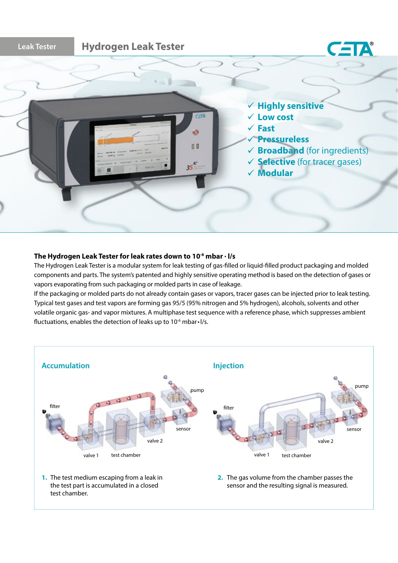

## The Hydrogen Leak Tester for leak rates down to 10<sup>-6</sup> mbar  $\cdot$  I/s

The Hydrogen Leak Tester is a modular system for leak testing of gas-filled or liquid-filled product packaging and molded components and parts. The system's patented and highly sensitive operating method is based on the detection of gases or vapors evaporating from such packaging or molded parts in case of leakage.

If the packaging or molded parts do not already contain gases or vapors, tracer gases can be injected prior to leak testing. Typical test gases and test vapors are forming gas 95/5 (95% nitrogen and 5% hydrogen), alcohols, solvents and other volatile organic gas- and vapor mixtures. A multiphase test sequence with a reference phase, which suppresses ambient fluctuations, enables the detection of leaks up to  $10^{-6}$  mbar $\cdot$  l/s.